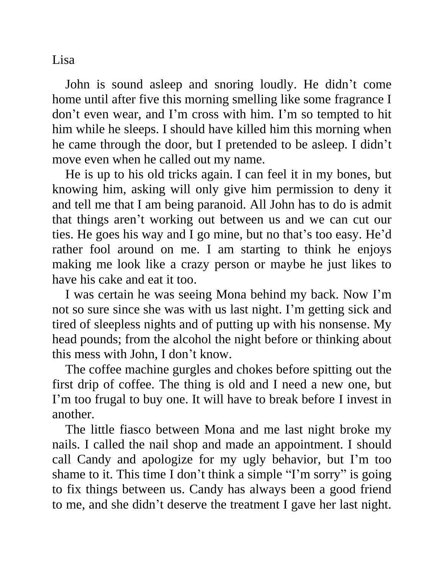Lisa

John is sound asleep and snoring loudly. He didn't come home until after five this morning smelling like some fragrance I don't even wear, and I'm cross with him. I'm so tempted to hit him while he sleeps. I should have killed him this morning when he came through the door, but I pretended to be asleep. I didn't move even when he called out my name.

He is up to his old tricks again. I can feel it in my bones, but knowing him, asking will only give him permission to deny it and tell me that I am being paranoid. All John has to do is admit that things aren't working out between us and we can cut our ties. He goes his way and I go mine, but no that's too easy. He'd rather fool around on me. I am starting to think he enjoys making me look like a crazy person or maybe he just likes to have his cake and eat it too.

I was certain he was seeing Mona behind my back. Now I'm not so sure since she was with us last night. I'm getting sick and tired of sleepless nights and of putting up with his nonsense. My head pounds; from the alcohol the night before or thinking about this mess with John, I don't know.

The coffee machine gurgles and chokes before spitting out the first drip of coffee. The thing is old and I need a new one, but I'm too frugal to buy one. It will have to break before I invest in another.

The little fiasco between Mona and me last night broke my nails. I called the nail shop and made an appointment. I should call Candy and apologize for my ugly behavior, but I'm too shame to it. This time I don't think a simple "I'm sorry" is going to fix things between us. Candy has always been a good friend to me, and she didn't deserve the treatment I gave her last night.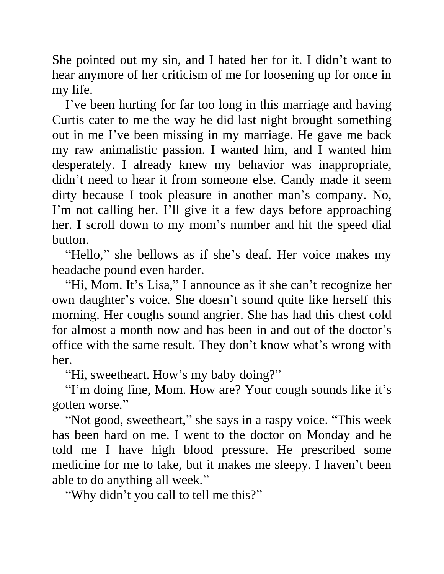She pointed out my sin, and I hated her for it. I didn't want to hear anymore of her criticism of me for loosening up for once in my life.

I've been hurting for far too long in this marriage and having Curtis cater to me the way he did last night brought something out in me I've been missing in my marriage. He gave me back my raw animalistic passion. I wanted him, and I wanted him desperately. I already knew my behavior was inappropriate, didn't need to hear it from someone else. Candy made it seem dirty because I took pleasure in another man's company. No, I'm not calling her. I'll give it a few days before approaching her. I scroll down to my mom's number and hit the speed dial button.

"Hello," she bellows as if she's deaf. Her voice makes my headache pound even harder.

"Hi, Mom. It's Lisa," I announce as if she can't recognize her own daughter's voice. She doesn't sound quite like herself this morning. Her coughs sound angrier. She has had this chest cold for almost a month now and has been in and out of the doctor's office with the same result. They don't know what's wrong with her.

"Hi, sweetheart. How's my baby doing?"

"I'm doing fine, Mom. How are? Your cough sounds like it's gotten worse."

"Not good, sweetheart," she says in a raspy voice. "This week" has been hard on me. I went to the doctor on Monday and he told me I have high blood pressure. He prescribed some medicine for me to take, but it makes me sleepy. I haven't been able to do anything all week."

"Why didn't you call to tell me this?"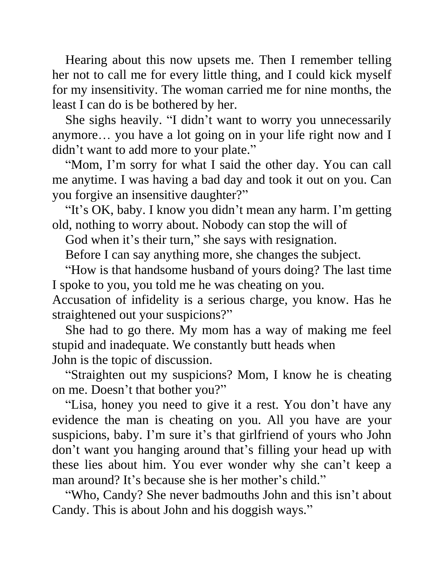Hearing about this now upsets me. Then I remember telling her not to call me for every little thing, and I could kick myself for my insensitivity. The woman carried me for nine months, the least I can do is be bothered by her.

She sighs heavily. "I didn't want to worry you unnecessarily anymore… you have a lot going on in your life right now and I didn't want to add more to your plate."

"Mom, I'm sorry for what I said the other day. You can call me anytime. I was having a bad day and took it out on you. Can you forgive an insensitive daughter?"

"It's OK, baby. I know you didn't mean any harm. I'm getting old, nothing to worry about. Nobody can stop the will of

God when it's their turn," she says with resignation.

Before I can say anything more, she changes the subject.

"How is that handsome husband of yours doing? The last time I spoke to you, you told me he was cheating on you.

Accusation of infidelity is a serious charge, you know. Has he straightened out your suspicions?"

She had to go there. My mom has a way of making me feel stupid and inadequate. We constantly butt heads when John is the topic of discussion.

"Straighten out my suspicions? Mom, I know he is cheating on me. Doesn't that bother you?"

"Lisa, honey you need to give it a rest. You don't have any evidence the man is cheating on you. All you have are your suspicions, baby. I'm sure it's that girlfriend of yours who John don't want you hanging around that's filling your head up with these lies about him. You ever wonder why she can't keep a man around? It's because she is her mother's child."

"Who, Candy? She never badmouths John and this isn't about Candy. This is about John and his doggish ways."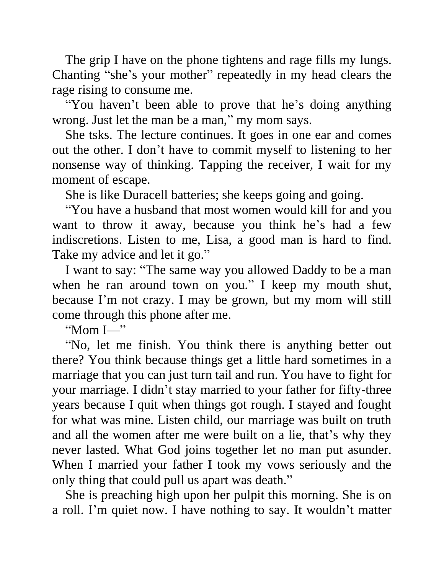The grip I have on the phone tightens and rage fills my lungs. Chanting "she's your mother" repeatedly in my head clears the rage rising to consume me.

"You haven't been able to prove that he's doing anything wrong. Just let the man be a man," my mom says.

She tsks. The lecture continues. It goes in one ear and comes out the other. I don't have to commit myself to listening to her nonsense way of thinking. Tapping the receiver, I wait for my moment of escape.

She is like Duracell batteries; she keeps going and going.

"You have a husband that most women would kill for and you want to throw it away, because you think he's had a few indiscretions. Listen to me, Lisa, a good man is hard to find. Take my advice and let it go."

I want to say: "The same way you allowed Daddy to be a man when he ran around town on you." I keep my mouth shut, because I'm not crazy. I may be grown, but my mom will still come through this phone after me.

"Mom I—"

"No, let me finish. You think there is anything better out there? You think because things get a little hard sometimes in a marriage that you can just turn tail and run. You have to fight for your marriage. I didn't stay married to your father for fifty-three years because I quit when things got rough. I stayed and fought for what was mine. Listen child, our marriage was built on truth and all the women after me were built on a lie, that's why they never lasted. What God joins together let no man put asunder. When I married your father I took my vows seriously and the only thing that could pull us apart was death."

She is preaching high upon her pulpit this morning. She is on a roll. I'm quiet now. I have nothing to say. It wouldn't matter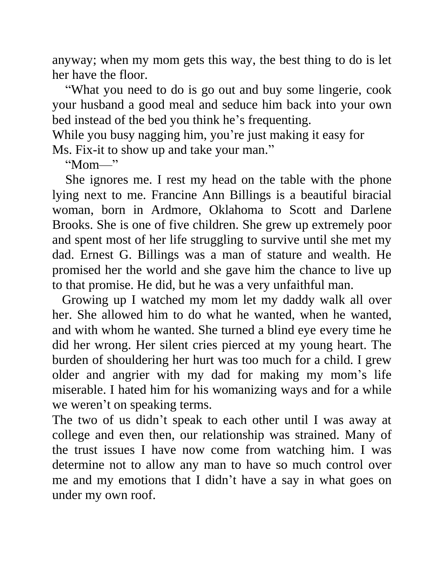anyway; when my mom gets this way, the best thing to do is let her have the floor.

"What you need to do is go out and buy some lingerie, cook your husband a good meal and seduce him back into your own bed instead of the bed you think he's frequenting.

While you busy nagging him, you're just making it easy for Ms. Fix-it to show up and take your man."

" $M$ om—"

She ignores me. I rest my head on the table with the phone lying next to me. Francine Ann Billings is a beautiful biracial woman, born in Ardmore, Oklahoma to Scott and Darlene Brooks. She is one of five children. She grew up extremely poor and spent most of her life struggling to survive until she met my dad. Ernest G. Billings was a man of stature and wealth. He promised her the world and she gave him the chance to live up to that promise. He did, but he was a very unfaithful man.

Growing up I watched my mom let my daddy walk all over her. She allowed him to do what he wanted, when he wanted, and with whom he wanted. She turned a blind eye every time he did her wrong. Her silent cries pierced at my young heart. The burden of shouldering her hurt was too much for a child. I grew older and angrier with my dad for making my mom's life miserable. I hated him for his womanizing ways and for a while we weren't on speaking terms.

The two of us didn't speak to each other until I was away at college and even then, our relationship was strained. Many of the trust issues I have now come from watching him. I was determine not to allow any man to have so much control over me and my emotions that I didn't have a say in what goes on under my own roof.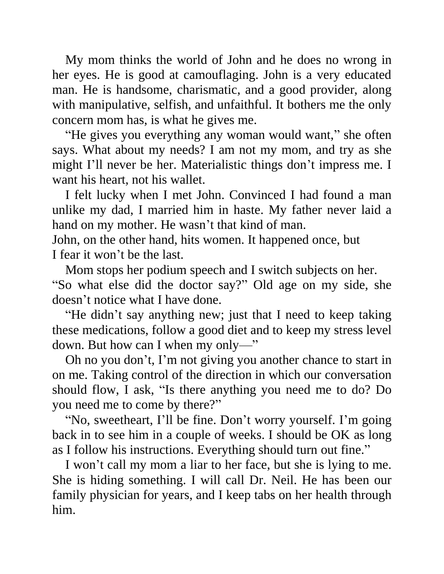My mom thinks the world of John and he does no wrong in her eyes. He is good at camouflaging. John is a very educated man. He is handsome, charismatic, and a good provider, along with manipulative, selfish, and unfaithful. It bothers me the only concern mom has, is what he gives me.

"He gives you everything any woman would want," she often says. What about my needs? I am not my mom, and try as she might I'll never be her. Materialistic things don't impress me. I want his heart, not his wallet.

I felt lucky when I met John. Convinced I had found a man unlike my dad, I married him in haste. My father never laid a hand on my mother. He wasn't that kind of man.

John, on the other hand, hits women. It happened once, but I fear it won't be the last.

Mom stops her podium speech and I switch subjects on her. "So what else did the doctor say?" Old age on my side, she doesn't notice what I have done.

"He didn't say anything new; just that I need to keep taking these medications, follow a good diet and to keep my stress level down. But how can I when my only—"

Oh no you don't, I'm not giving you another chance to start in on me. Taking control of the direction in which our conversation should flow, I ask, "Is there anything you need me to do? Do you need me to come by there?"

"No, sweetheart, I'll be fine. Don't worry yourself. I'm going back in to see him in a couple of weeks. I should be OK as long as I follow his instructions. Everything should turn out fine."

I won't call my mom a liar to her face, but she is lying to me. She is hiding something. I will call Dr. Neil. He has been our family physician for years, and I keep tabs on her health through him.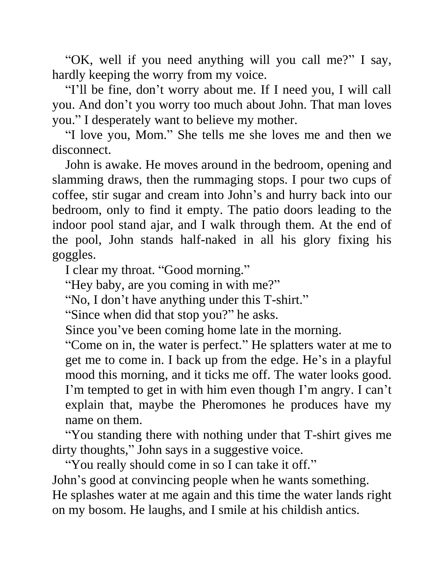"OK, well if you need anything will you call me?" I say, hardly keeping the worry from my voice.

"I'll be fine, don't worry about me. If I need you, I will call you. And don't you worry too much about John. That man loves you." I desperately want to believe my mother.

"I love you, Mom." She tells me she loves me and then we disconnect.

John is awake. He moves around in the bedroom, opening and slamming draws, then the rummaging stops. I pour two cups of coffee, stir sugar and cream into John's and hurry back into our bedroom, only to find it empty. The patio doors leading to the indoor pool stand ajar, and I walk through them. At the end of the pool, John stands half-naked in all his glory fixing his goggles.

I clear my throat. "Good morning."

"Hey baby, are you coming in with me?"

"No, I don't have anything under this T-shirt."

"Since when did that stop you?" he asks.

Since you've been coming home late in the morning.

"Come on in, the water is perfect." He splatters water at me to get me to come in. I back up from the edge. He's in a playful mood this morning, and it ticks me off. The water looks good. I'm tempted to get in with him even though I'm angry. I can't explain that, maybe the Pheromones he produces have my name on them.

"You standing there with nothing under that T-shirt gives me dirty thoughts," John says in a suggestive voice.

"You really should come in so I can take it off." John's good at convincing people when he wants something. He splashes water at me again and this time the water lands right on my bosom. He laughs, and I smile at his childish antics.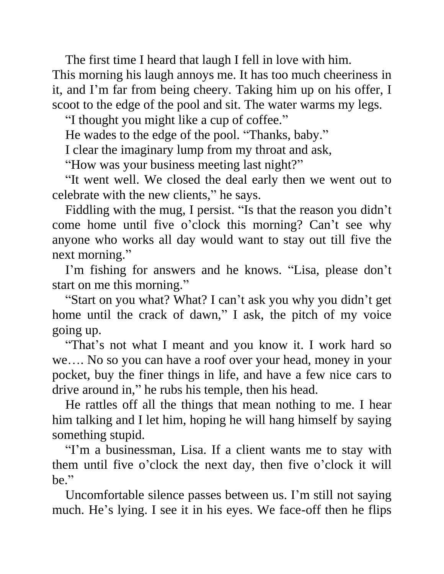The first time I heard that laugh I fell in love with him.

This morning his laugh annoys me. It has too much cheeriness in it, and I'm far from being cheery. Taking him up on his offer, I scoot to the edge of the pool and sit. The water warms my legs.

"I thought you might like a cup of coffee."

He wades to the edge of the pool. "Thanks, baby."

I clear the imaginary lump from my throat and ask,

"How was your business meeting last night?"

"It went well. We closed the deal early then we went out to celebrate with the new clients," he says.

Fiddling with the mug, I persist. "Is that the reason you didn't come home until five o'clock this morning? Can't see why anyone who works all day would want to stay out till five the next morning."

 I'm fishing for answers and he knows. "Lisa, please don't start on me this morning."

"Start on you what? What? I can't ask you why you didn't get home until the crack of dawn," I ask, the pitch of my voice going up.

"That's not what I meant and you know it. I work hard so we…. No so you can have a roof over your head, money in your pocket, buy the finer things in life, and have a few nice cars to drive around in," he rubs his temple, then his head.

He rattles off all the things that mean nothing to me. I hear him talking and I let him, hoping he will hang himself by saying something stupid.

"I'm a businessman, Lisa. If a client wants me to stay with them until five o'clock the next day, then five o'clock it will be."

Uncomfortable silence passes between us. I'm still not saying much. He's lying. I see it in his eyes. We face-off then he flips